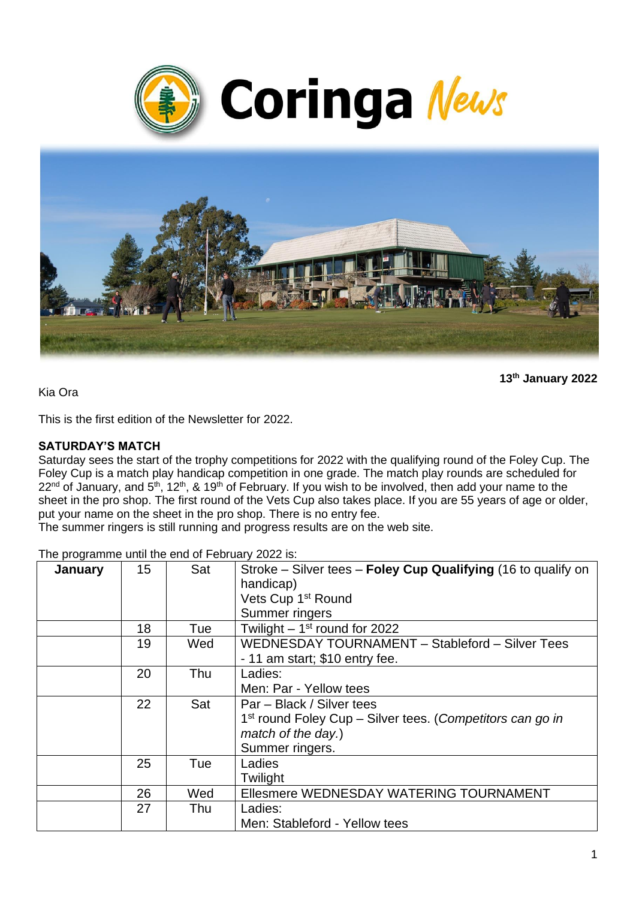



**13 th January 2022**

Kia Ora

This is the first edition of the Newsletter for 2022.

#### **SATURDAY'S MATCH**

Saturday sees the start of the trophy competitions for 2022 with the qualifying round of the Foley Cup. The Foley Cup is a match play handicap competition in one grade. The match play rounds are scheduled for  $22<sup>nd</sup>$  of January, and 5<sup>th</sup>, 12<sup>th</sup>, & 19<sup>th</sup> of February. If you wish to be involved, then add your name to the sheet in the pro shop. The first round of the Vets Cup also takes place. If you are 55 years of age or older, put your name on the sheet in the pro shop. There is no entry fee.

The summer ringers is still running and progress results are on the web site.

| January | 15 | Sat | Stroke – Silver tees – Foley Cup Qualifying (16 to qualify on<br>handicap) |
|---------|----|-----|----------------------------------------------------------------------------|
|         |    |     | Vets Cup 1 <sup>st</sup> Round                                             |
|         |    |     | Summer ringers                                                             |
|         | 18 | Tue | Twilight $-1st$ round for 2022                                             |
|         | 19 | Wed | WEDNESDAY TOURNAMENT - Stableford - Silver Tees                            |
|         |    |     | - 11 am start; \$10 entry fee.                                             |
|         | 20 | Thu | Ladies:                                                                    |
|         |    |     | Men: Par - Yellow tees                                                     |
|         | 22 | Sat | Par – Black / Silver tees                                                  |
|         |    |     | 1 <sup>st</sup> round Foley Cup – Silver tees. (Competitors can go in      |
|         |    |     | match of the day.)                                                         |
|         |    |     | Summer ringers.                                                            |
|         | 25 | Tue | Ladies                                                                     |
|         |    |     | Twilight                                                                   |
|         | 26 | Wed | Ellesmere WEDNESDAY WATERING TOURNAMENT                                    |
|         | 27 | Thu | Ladies:                                                                    |
|         |    |     | Men: Stableford - Yellow tees                                              |

The programme until the end of February 2022 is: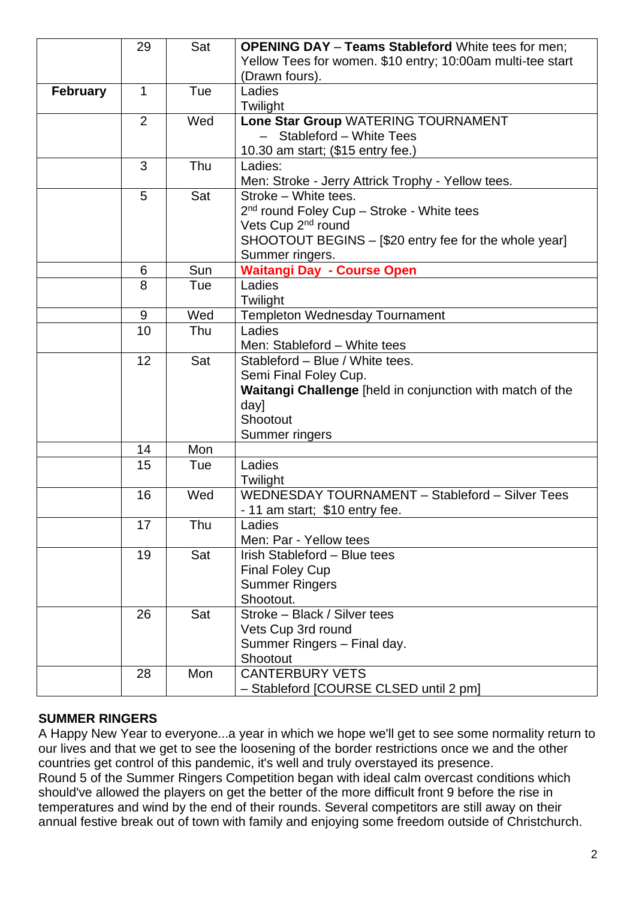|                 | 29             | Sat | <b>OPENING DAY - Teams Stableford White tees for men;</b>        |
|-----------------|----------------|-----|------------------------------------------------------------------|
|                 |                |     | Yellow Tees for women. \$10 entry; 10:00am multi-tee start       |
|                 |                |     | (Drawn fours).                                                   |
| <b>February</b> | $\mathbf{1}$   | Tue | Ladies                                                           |
|                 |                |     | Twilight                                                         |
|                 | $\overline{2}$ | Wed | Lone Star Group WATERING TOURNAMENT                              |
|                 |                |     | - Stableford - White Tees                                        |
|                 |                |     | 10.30 am start; (\$15 entry fee.)                                |
|                 | 3              | Thu | Ladies:                                                          |
|                 |                |     | Men: Stroke - Jerry Attrick Trophy - Yellow tees.                |
|                 | 5              | Sat | Stroke - White tees.                                             |
|                 |                |     | 2 <sup>nd</sup> round Foley Cup - Stroke - White tees            |
|                 |                |     | Vets Cup 2 <sup>nd</sup> round                                   |
|                 |                |     | SHOOTOUT BEGINS – [\$20 entry fee for the whole year]            |
|                 |                |     | Summer ringers.                                                  |
|                 | 6              | Sun | <b>Waitangi Day - Course Open</b>                                |
|                 | 8              | Tue | Ladies                                                           |
|                 |                |     | Twilight                                                         |
|                 | 9              | Wed | Templeton Wednesday Tournament                                   |
|                 | 10             | Thu | Ladies                                                           |
|                 |                |     | Men: Stableford - White tees                                     |
|                 | 12             | Sat | Stableford - Blue / White tees.                                  |
|                 |                |     | Semi Final Foley Cup.                                            |
|                 |                |     | <b>Waitangi Challenge</b> [held in conjunction with match of the |
|                 |                |     | day]                                                             |
|                 |                |     | Shootout                                                         |
|                 |                |     | Summer ringers                                                   |
|                 | 14             | Mon |                                                                  |
|                 | 15             | Tue | Ladies                                                           |
|                 |                |     | Twilight                                                         |
|                 | 16             | Wed | WEDNESDAY TOURNAMENT - Stableford - Silver Tees                  |
|                 |                |     | - 11 am start; \$10 entry fee.                                   |
|                 | 17             | Thu | Ladies                                                           |
|                 |                |     | Men: Par - Yellow tees                                           |
|                 | 19             | Sat | Irish Stableford - Blue tees                                     |
|                 |                |     | <b>Final Foley Cup</b>                                           |
|                 |                |     | <b>Summer Ringers</b><br>Shootout.                               |
|                 | 26             | Sat | Stroke - Black / Silver tees                                     |
|                 |                |     | Vets Cup 3rd round                                               |
|                 |                |     | Summer Ringers - Final day.                                      |
|                 |                |     | Shootout                                                         |
|                 | 28             | Mon | <b>CANTERBURY VETS</b>                                           |
|                 |                |     | - Stableford [COURSE CLSED until 2 pm]                           |
|                 |                |     |                                                                  |

### **SUMMER RINGERS**

A Happy New Year to everyone...a year in which we hope we'll get to see some normality return to our lives and that we get to see the loosening of the border restrictions once we and the other countries get control of this pandemic, it's well and truly overstayed its presence. Round 5 of the Summer Ringers Competition began with ideal calm overcast conditions which should've allowed the players on get the better of the more difficult front 9 before the rise in temperatures and wind by the end of their rounds. Several competitors are still away on their annual festive break out of town with family and enjoying some freedom outside of Christchurch.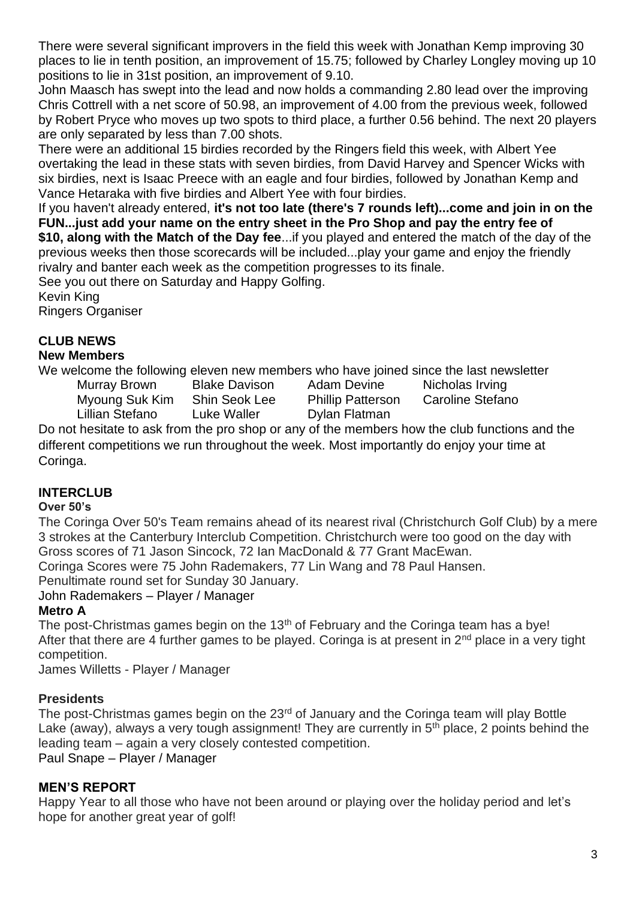There were several significant improvers in the field this week with Jonathan Kemp improving 30 places to lie in tenth position, an improvement of 15.75; followed by Charley Longley moving up 10 positions to lie in 31st position, an improvement of 9.10.

John Maasch has swept into the lead and now holds a commanding 2.80 lead over the improving Chris Cottrell with a net score of 50.98, an improvement of 4.00 from the previous week, followed by Robert Pryce who moves up two spots to third place, a further 0.56 behind. The next 20 players are only separated by less than 7.00 shots.

There were an additional 15 birdies recorded by the Ringers field this week, with Albert Yee overtaking the lead in these stats with seven birdies, from David Harvey and Spencer Wicks with six birdies, next is Isaac Preece with an eagle and four birdies, followed by Jonathan Kemp and Vance Hetaraka with five birdies and Albert Yee with four birdies.

If you haven't already entered, **it's not too late (there's 7 rounds left)...come and join in on the FUN...just add your name on the entry sheet in the Pro Shop and pay the entry fee of \$10, along with the Match of the Day fee**...if you played and entered the match of the day of the previous weeks then those scorecards will be included...play your game and enjoy the friendly rivalry and banter each week as the competition progresses to its finale.

See you out there on Saturday and Happy Golfing.

Kevin King

Ringers Organiser

# **CLUB NEWS**

#### **New Members**

We welcome the following eleven new members who have joined since the last newsletter

Murray Brown Blake Davison Adam Devine Nicholas Irving

Myoung Suk Kim Shin Seok Lee Phillip Patterson Caroline Stefano Lillian Stefano Luke Waller Dylan Flatman

Do not hesitate to ask from the pro shop or any of the members how the club functions and the different competitions we run throughout the week. Most importantly do enjoy your time at Coringa.

## **INTERCLUB**

### **Over 50's**

The Coringa Over 50's Team remains ahead of its nearest rival (Christchurch Golf Club) by a mere 3 strokes at the Canterbury Interclub Competition. Christchurch were too good on the day with Gross scores of 71 Jason Sincock, 72 Ian MacDonald & 77 Grant MacEwan.

Coringa Scores were 75 John Rademakers, 77 Lin Wang and 78 Paul Hansen.

Penultimate round set for Sunday 30 January.

### John Rademakers – Player / Manager

### **Metro A**

The post-Christmas games begin on the 13<sup>th</sup> of February and the Coringa team has a bye! After that there are 4 further games to be played. Coringa is at present in 2<sup>nd</sup> place in a very tight competition.

James Willetts - Player / Manager

## **Presidents**

The post-Christmas games begin on the 23<sup>rd</sup> of January and the Coringa team will play Bottle Lake (away), always a very tough assignment! They are currently in  $5<sup>th</sup>$  place, 2 points behind the leading team – again a very closely contested competition. Paul Snape – Player / Manager

### **MEN'S REPORT**

Happy Year to all those who have not been around or playing over the holiday period and let's hope for another great year of golf!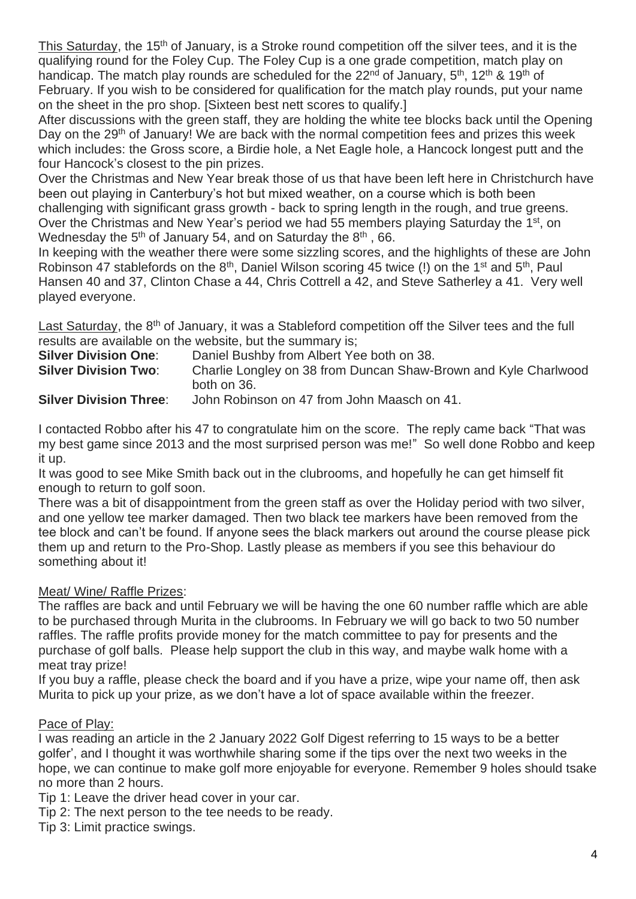This Saturday, the 15<sup>th</sup> of January, is a Stroke round competition off the silver tees, and it is the qualifying round for the Foley Cup. The Foley Cup is a one grade competition, match play on handicap. The match play rounds are scheduled for the 22<sup>nd</sup> of January, 5<sup>th</sup>, 12<sup>th</sup> & 19<sup>th</sup> of February. If you wish to be considered for qualification for the match play rounds, put your name on the sheet in the pro shop. [Sixteen best nett scores to qualify.]

After discussions with the green staff, they are holding the white tee blocks back until the Opening Day on the 29<sup>th</sup> of January! We are back with the normal competition fees and prizes this week which includes: the Gross score, a Birdie hole, a Net Eagle hole, a Hancock longest putt and the four Hancock's closest to the pin prizes.

Over the Christmas and New Year break those of us that have been left here in Christchurch have been out playing in Canterbury's hot but mixed weather, on a course which is both been challenging with significant grass growth - back to spring length in the rough, and true greens. Over the Christmas and New Year's period we had 55 members playing Saturday the 1<sup>st</sup>, on Wednesday the  $5<sup>th</sup>$  of January 54, and on Saturday the  $8<sup>th</sup>$ , 66.

In keeping with the weather there were some sizzling scores, and the highlights of these are John Robinson 47 stablefords on the  $8<sup>th</sup>$ , Daniel Wilson scoring 45 twice (!) on the 1<sup>st</sup> and 5<sup>th</sup>, Paul Hansen 40 and 37, Clinton Chase a 44, Chris Cottrell a 42, and Steve Satherley a 41. Very well played everyone.

Last Saturday, the 8<sup>th</sup> of January, it was a Stableford competition off the Silver tees and the full results are available on the website, but the summary is;

| <b>Silver Division One:</b>   | Daniel Bushby from Albert Yee both on 38.                       |
|-------------------------------|-----------------------------------------------------------------|
| <b>Silver Division Two:</b>   | Charlie Longley on 38 from Duncan Shaw-Brown and Kyle Charlwood |
|                               | both on 36.                                                     |
| <b>Silver Division Three:</b> | John Robinson on 47 from John Maasch on 41.                     |

I contacted Robbo after his 47 to congratulate him on the score. The reply came back "That was my best game since 2013 and the most surprised person was me!" So well done Robbo and keep it up.

It was good to see Mike Smith back out in the clubrooms, and hopefully he can get himself fit enough to return to golf soon.

There was a bit of disappointment from the green staff as over the Holiday period with two silver, and one yellow tee marker damaged. Then two black tee markers have been removed from the tee block and can't be found. If anyone sees the black markers out around the course please pick them up and return to the Pro-Shop. Lastly please as members if you see this behaviour do something about it!

### Meat/ Wine/ Raffle Prizes:

The raffles are back and until February we will be having the one 60 number raffle which are able to be purchased through Murita in the clubrooms. In February we will go back to two 50 number raffles. The raffle profits provide money for the match committee to pay for presents and the purchase of golf balls. Please help support the club in this way, and maybe walk home with a meat tray prize!

If you buy a raffle, please check the board and if you have a prize, wipe your name off, then ask Murita to pick up your prize, as we don't have a lot of space available within the freezer.

#### Pace of Play:

I was reading an article in the 2 January 2022 Golf Digest referring to 15 ways to be a better golfer', and I thought it was worthwhile sharing some if the tips over the next two weeks in the hope, we can continue to make golf more enjoyable for everyone. Remember 9 holes should tsake no more than 2 hours.

Tip 1: Leave the driver head cover in your car.

Tip 2: The next person to the tee needs to be ready.

Tip 3: Limit practice swings.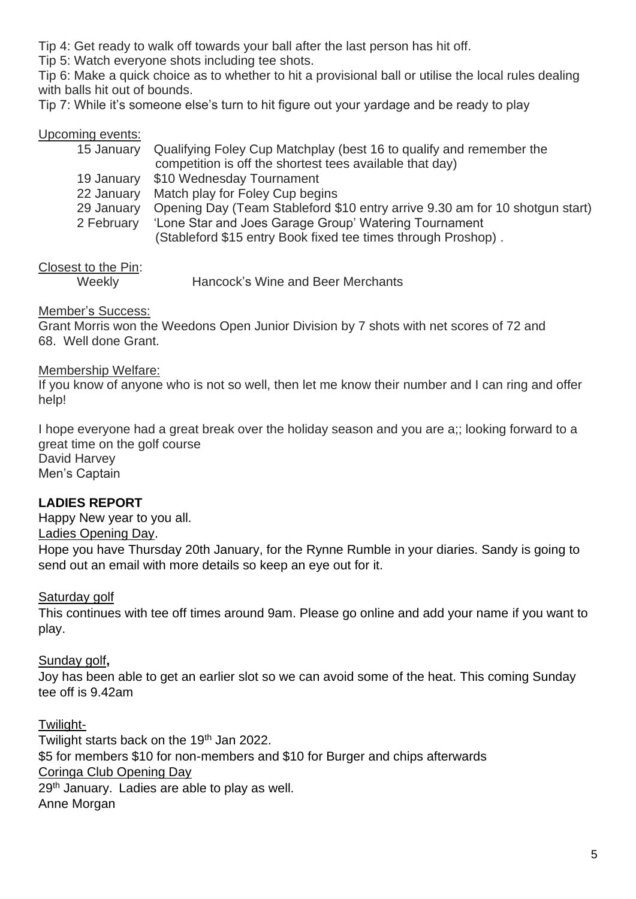Tip 4: Get ready to walk off towards your ball after the last person has hit off.

Tip 5: Watch everyone shots including tee shots.

Tip 6: Make a quick choice as to whether to hit a provisional ball or utilise the local rules dealing with balls hit out of bounds.

Tip 7: While it's someone else's turn to hit figure out your yardage and be ready to play

#### Upcoming events:

|            | 15 January Qualifying Foley Cup Matchplay (best 16 to qualify and remember the |
|------------|--------------------------------------------------------------------------------|
|            | competition is off the shortest tees available that day)                       |
|            | 19 January \$10 Wednesday Tournament                                           |
| 22 January | Match play for Foley Cup begins                                                |
| 29 January | Opening Day (Team Stableford \$10 entry arrive 9.30 am for 10 shotgun start)   |
| 2 February | 'Lone Star and Joes Garage Group' Watering Tournament                          |
|            | (Stableford \$15 entry Book fixed tee times through Proshop).                  |

### Closest to the Pin:

Weekly Hancock's Wine and Beer Merchants

#### Member's Success:

Grant Morris won the Weedons Open Junior Division by 7 shots with net scores of 72 and 68. Well done Grant.

#### Membership Welfare:

If you know of anyone who is not so well, then let me know their number and I can ring and offer help!

I hope everyone had a great break over the holiday season and you are a;; looking forward to a great time on the golf course David Harvey Men's Captain

#### **LADIES REPORT**

Happy New year to you all. Ladies Opening Day.

Hope you have Thursday 20th January, for the Rynne Rumble in your diaries. Sandy is going to send out an email with more details so keep an eye out for it.

#### Saturday golf

This continues with tee off times around 9am. Please go online and add your name if you want to play.

#### Sunday golf**,**

Joy has been able to get an earlier slot so we can avoid some of the heat. This coming Sunday tee off is 9.42am

#### Twilight-

Twilight starts back on the 19<sup>th</sup> Jan 2022. \$5 for members \$10 for non-members and \$10 for Burger and chips afterwards Coringa Club Opening Day 29<sup>th</sup> January. Ladies are able to play as well. Anne Morgan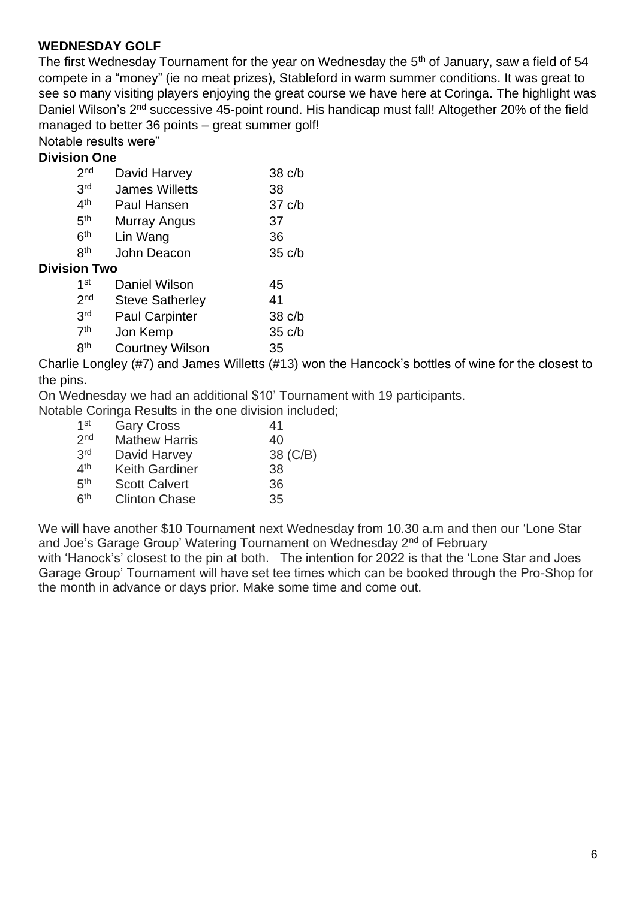#### **WEDNESDAY GOLF**

The first Wednesday Tournament for the year on Wednesday the 5<sup>th</sup> of January, saw a field of 54 compete in a "money" (ie no meat prizes), Stableford in warm summer conditions. It was great to see so many visiting players enjoying the great course we have here at Coringa. The highlight was Daniel Wilson's 2<sup>nd</sup> successive 45-point round. His handicap must fall! Altogether 20% of the field managed to better 36 points – great summer golf!

Notable results were"

#### **Division One**

| 2 <sub>nd</sub>     | David Harvey           |    | 38 c/b           |
|---------------------|------------------------|----|------------------|
| 3rd                 | <b>James Willetts</b>  | 38 |                  |
| 4 <sup>th</sup>     | Paul Hansen            |    | $37 \text{ c/b}$ |
| 5 <sup>th</sup>     | Murray Angus           | 37 |                  |
| 6 <sup>th</sup>     | Lin Wang               | 36 |                  |
| <b>gth</b>          | John Deacon            |    | $35 \text{ c/b}$ |
| <b>Division Two</b> |                        |    |                  |
| 1 <sup>st</sup>     | <b>Daniel Wilson</b>   | 45 |                  |
| 2 <sub>nd</sub>     | <b>Steve Satherley</b> | 41 |                  |

| -               | 0.01010101101101      |                  |
|-----------------|-----------------------|------------------|
| 3 <sup>rd</sup> | <b>Paul Carpinter</b> | $38 \text{ c/b}$ |
| 7 <sup>th</sup> | Jon Kemp              | $35 \text{ c/b}$ |

8<sup>th</sup> Courtney Wilson 35

Charlie Longley (#7) and James Willetts (#13) won the Hancock's bottles of wine for the closest to the pins.

On Wednesday we had an additional \$10' Tournament with 19 participants.

Notable Coringa Results in the one division included;

| 1 <sup>st</sup> | <b>Gary Cross</b>     | 41       |
|-----------------|-----------------------|----------|
| 2 <sub>nd</sub> | <b>Mathew Harris</b>  | 40       |
| 3rd             | David Harvey          | 38 (C/B) |
| 4 <sup>th</sup> | <b>Keith Gardiner</b> | 38       |
| 5 <sup>th</sup> | <b>Scott Calvert</b>  | 36       |
| 6 <sup>th</sup> | <b>Clinton Chase</b>  | 35       |

We will have another \$10 Tournament next Wednesday from 10.30 a.m and then our 'Lone Star and Joe's Garage Group' Watering Tournament on Wednesday 2<sup>nd</sup> of February with 'Hanock's' closest to the pin at both. The intention for 2022 is that the 'Lone Star and Joes Garage Group' Tournament will have set tee times which can be booked through the Pro-Shop for the month in advance or days prior. Make some time and come out.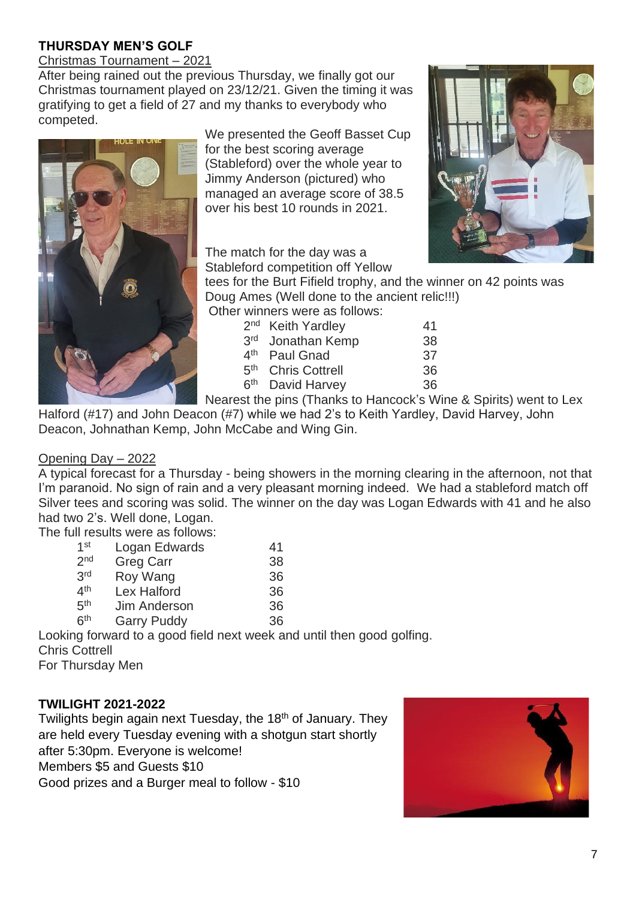# **THURSDAY MEN'S GOLF**

Christmas Tournament – 2021

After being rained out the previous Thursday, we finally got our Christmas tournament played on 23/12/21. Given the timing it was gratifying to get a field of 27 and my thanks to everybody who competed.



We presented the Geoff Basset Cup for the best scoring average (Stableford) over the whole year to Jimmy Anderson (pictured) who managed an average score of 38.5 over his best 10 rounds in 2021.

The match for the day was a Stableford competition off Yellow



tees for the Burt Fifield trophy, and the winner on 42 points was Doug Ames (Well done to the ancient relic!!!)

Other winners were as follows:

|                                    | 2 <sup>nd</sup> Keith Yardley  | 41 |  |
|------------------------------------|--------------------------------|----|--|
|                                    | 3rd Jonathan Kemp              | 38 |  |
|                                    | 4 <sup>th</sup> Paul Gnad      | 37 |  |
|                                    | 5 <sup>th</sup> Chris Cottrell | 36 |  |
|                                    | 6 <sup>th</sup> David Harvey   | 36 |  |
| at the nine (Thonic to Llongeolde) |                                |    |  |

Nearest the pins (Thanks to Hancock's Wine & Spirits) went to Lex

Halford (#17) and John Deacon (#7) while we had 2's to Keith Yardley, David Harvey, John Deacon, Johnathan Kemp, John McCabe and Wing Gin.

#### Opening Day – 2022

A typical forecast for a Thursday - being showers in the morning clearing in the afternoon, not that I'm paranoid. No sign of rain and a very pleasant morning indeed. We had a stableford match off Silver tees and scoring was solid. The winner on the day was Logan Edwards with 41 and he also had two 2's. Well done, Logan.

The full results were as follows:

| 1 <sup>st</sup> | Logan Edwards      | 41 |
|-----------------|--------------------|----|
| 2 <sub>nd</sub> | <b>Greg Carr</b>   | 38 |
| 3rd             | Roy Wang           | 36 |
| 4 <sup>th</sup> | <b>Lex Halford</b> | 36 |
| 5 <sup>th</sup> | Jim Anderson       | 36 |
| 6 <sup>th</sup> | <b>Garry Puddy</b> | 36 |

Looking forward to a good field next week and until then good golfing. Chris Cottrell For Thursday Men

#### **TWILIGHT 2021-2022**

Twilights begin again next Tuesday, the 18<sup>th</sup> of January. They are held every Tuesday evening with a shotgun start shortly after 5:30pm. Everyone is welcome! Members \$5 and Guests \$10 Good prizes and a Burger meal to follow - \$10